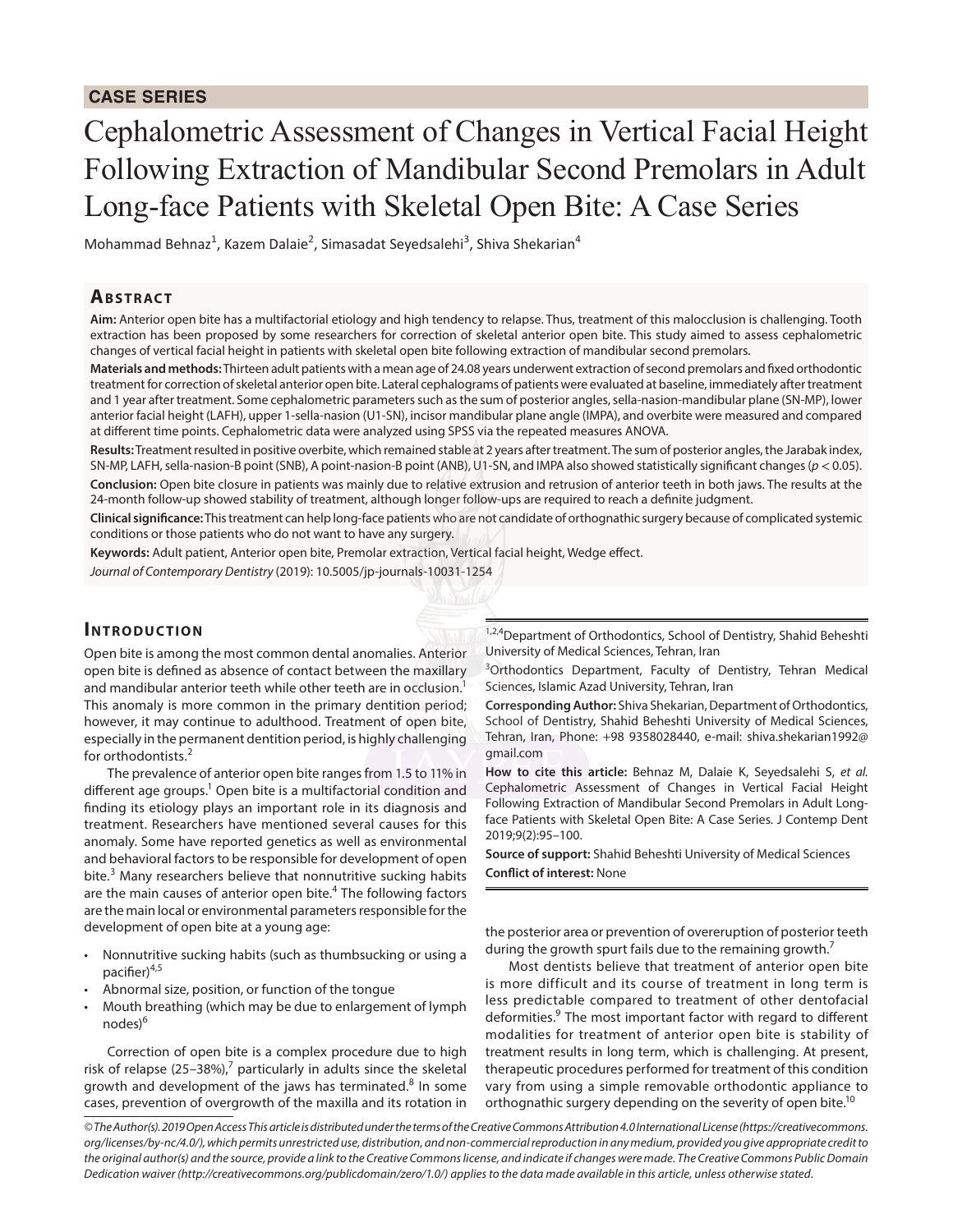# Cephalometric Assessment of Changes in Vertical Facial Height Following Extraction of Mandibular Second Premolars in Adult Long-face Patients with Skeletal Open Bite: A Case Series

Mohammad Behnaz<sup>1</sup>, Kazem Dalaie<sup>2</sup>, Simasadat Seyedsalehi<sup>3</sup>, Shiva Shekarian<sup>4</sup>

## **AB S T RaC T**

Aim: Anterior open bite has a multifactorial etiology and high tendency to relapse. Thus, treatment of this malocclusion is challengin extraction has been proposed by some researchers for correction of skeletal anterior open bite. This study aimed to assess cep changes of vertical facial height in patients with skeletal open bite following extraction of mandibular second premolars.

Materials and methods: Thirteen adult patients with a mean age of 24.08 years underwent extraction of second premolars and xed orth treatment for correction of skeletal anterior open bite. Lateral cephalograms of patients were evaluated at baseline, immediately afte and 1 year after treatment. Some cephalometric parameters such as the sum of posterior angles, sella-nasion-mandibular plane (SNanterior facial height (LAFH), upper 1-sella-nasion (U1-SN), incisor mandibular plane angle (IMPA), and overbite were measured and compared and compared and compared and compared and compared and compared and compared and at di erent time points. Cephalometric data were analyzed using SPSS via the repeated measures ANOVA

Results: Treatment resulted in positive overbite, which remained stable at 2 years after treatment. The sum of posterior angles, the Jar SN-MP, LAFH, sella-nasion-B point (SNB), A point-nasion-B point (ANB), U1-SN, and IMPA also showed statistically sign053ant changes Conclusion: Open bite closure in patients was mainly due to relative extrusion and retrusion of anterior teeth in both jaws. The results at the test 24-month follow-up showed stability of treatment, although longer follow-ups are required to reach a denite judgment.

Clinical signi cance: This treatment can help long-face patients who are not candidate of orthognathic surgery because of complicated s conditions or those patients who do not want to have any surgery.

Keywords: Adult patient, Anterior open bite, Premolar extraction, Vertical facial height, Wedge e ect.

Journal of Contemporary Dentistry (2019): 10.5005/jp-journals-10031-1254

#### **INTRODUCTION**

1,2, Department of Orthodontics, School of Dentistry, Shahid Beheshti

Open bite is among the most common dental anomalies. Applegerity of Medical Sciences, Tehran, Iran open bite is de ned as absence of contact between the maxilladyntics Department, Faculty of Dentistry, Tehran Medical and mandibular anterior teeth while other teeth are in<sup>1</sup> oc§kisitoss, Islamic Azad University, Tehran, Iran

This anomaly is more common in the primary dentition periesponding Author: Shiva Shekarian, Department of Orthodontics, however, it may continue to adulthood. Treatment of openhbidepf Dentistry, Shahid Beheshti University of Medical Sciences, especially in the permanent dentition period, is highly chall**eelging** Iran, Phone: +98 9358028440, e-mail: shiva.shekarian1992@ for orthodontists. gmail.com

The prevalence of anterior open bite ranges from 1.5 t**bow %**pinite this article: Behnaz M, Dalaie K, Seyedsalehi S, et al. dierent age group切pen bite is a multifactorial condition G的的alometric Assessment of Changes in Vertical Facial Height nding its etiology plays an important role in its diagnoselle and Extraction of Mandibular Second Premolars in Adult Longtreatment. Researchers have mentioned several causes for Patients with Skeletal Open Bite: A Case Series. J Contemp Dent anomaly. Some have reported genetics as well as environmenta(2):95 100.

and behavioral factors to be responsible for development of upport: Shahid Beheshti University of Medical Sciences bite.<sup>3</sup> Many researchers believe that nonnutritive suckingCpabiptofinterest: None

are the main causes of anterior opénThotteollowing factors

are the main local or environmental parameters responsible for the

development of open bite at a young age:

Nonnutritive sucking habits (such as thumbsucking or during the growth spurt fails due to the remaining growth the posterior area or prevention of overeruption of posterior teeth

pacier<sup>45</sup> Abnormal size, position, or function of the tongue nodes<sup>9</sup>

Mouth breathing (which may be due to enlargement of lymph  $\frac{1}{2}$ , and the compared to treatment of other dentofacial Most dentists believe that treatment of anterior open bite is more difficult and its course of treatment in long term is deformities. The most important factor with regard to di erent modalities for treatment of anterior open bite is stability of

Correction of open bite is a complex procedure due toehighent results in long term, which is challenging. At present, risk of relapse (25 386%), ticularly in adults since the sketentan apeutic procedures performed for treatment of this condition growth and development of the jaws has termiinastenhe vary from using a simple removable orthodontic appliance to cases, prevention of overgrowth of the maxilla and its rodattiong inathic surgery depending on the severity of open bite.

<sup>&#</sup>x27; The Author(s). 2019 Open Access This article is distributed under the terms of the Creative Commons Attribution 4.0 International License (htt org/licenses/by-nc/4.0/), which permits unrestricted use, distribution, and non-commercial reproduction in any medium, provided you give ap the original author(s) and the source, provide a link to the Creative Commons license, and indicate if changes were made. The Creative Comm Dedication waiver (http://creativecommons.org/publicdomain/zero/1.0/) applies to the data made available in this article, unless otherwise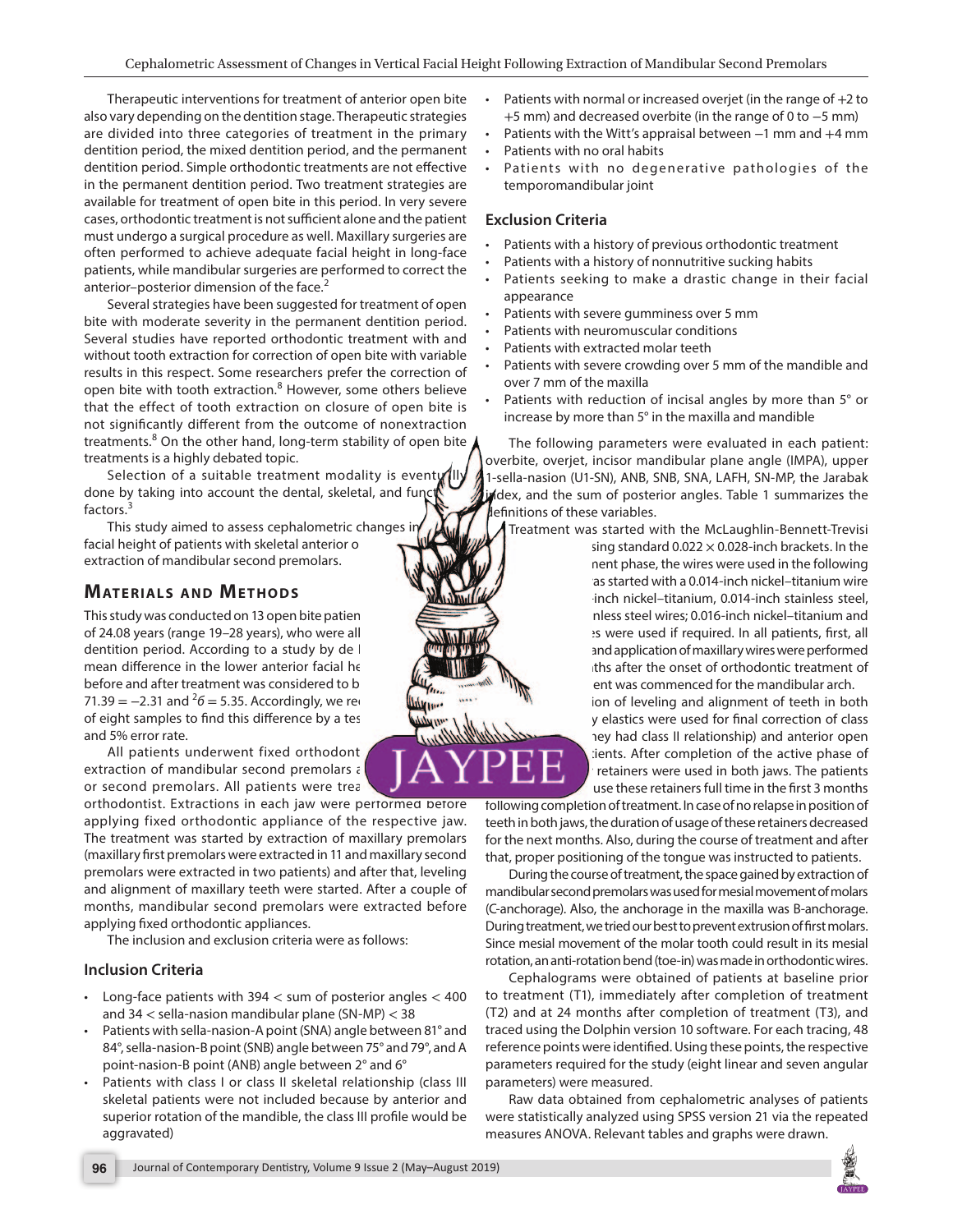Therapeutic interventions for treatment of anterior operP**bite**nts with normal or increased overjet (in th<del>e 2ato</del>ge of also vary depending on the dentition stage. Therapeutic strategiesm) and decreased overbite (in the range Smm) o are divided into three categories of treatment in the pri<del>nadig</del>nts with the Witt s appraisal betwrerenand 4 mm dentition period, the mixed dentition period, and the perman@mttlents with no oral habits

dentition period. Simple orthodontic treatments are not e edtatents with no degenerative pathologies of the in the permanent dentition period. Two treatment strategiese amporomandibular joint

available for treatment of open bite in this period. In very severe

cases, orthodontic treatment is not su cient alone and the patient Criteria **Exclusion Criteria**

must undergo a surgical procedure as well. Maxillary surgeries are often performed to achieve adequate facial height in long-face patients, while mandibular surgeries are performed to correct the anterior posterior dimension of the face. Patients with a history of previous orthodontic treatment Pățients with a history of nonnutritive sucking habits Patients seeking to make a drastic change in their facial appearance

Several strategies have been suggested for treatment of open bite with moderate severity in the permanent dentition period. Patients with severe gumminess over 5 mm

Several studies have reported orthodontic treatment with and Patients with neuromuscular conditions

without tooth extraction for correction of open bite with variable Patiënts with extracted molar teeth

results in this respect. Some researchers prefer the correction of open bite with tooth extra $\overset{\scriptscriptstyle \sf B}{\scriptscriptstyle \sf E}$ tilowever, some others believe Patients with severe crowding over 5 mm of the mandible and over 7 mm of the maxilla

that the effect of tooth extraction on closure of open pittents with reduction of incisal angles by more than 5° or mat the entert of recent from the outcome of nonextraction ease by more than 5° in the maxilla and mandible<br>not signi cantly di erent from the outcome of nonextraction ease by more than 5° in the maxilla and mandible Patients with reduction of incisal angles by more than 5° or

treatment<sup>8</sup> On the other hand, long-ter treatments is a highly debated topic.

Selection of a suitable treatment done by taking into account the dental factors.

This study aimed to assess cephalor facial height of patients with skeletal a extraction of mandibular second premol

## **MATERIALS AND METHODS**

This study was conducted on 13 open bi of 24.08 years (range 1928 years), wh dentition period. According to a study mean di erence in the lower anterior facial before and after treatment was conside 71.3 $9$  2.31 and = 5.35. Accordingly, we of eight samples to nd this di erence I and 5% error rate.

All patients underwent fixed orth extraction of mandibular second prem or second premolars. All patients we In parameters were evaluated in each patient: et, incisor mandibular plane angle (IMPA), upper U1-SN), ANB, SNB, SNA, LAFH, SN-MP, the Jarabak sum of posterior angles. Table 1 summarizes the ese variables.

vas started with the McLaughlin-Bennett-Trevisi e using standard 0.0228-inch brackets. In the nment phase, the wires were used in the following t was started with a 0.014-inch nickel titanium wire r18-inch nickel titanium, 0.014-inch stainless steel, stainless steel wires; 0.016-inch nickel titanium and wires were used if required. In all patients, rst, all ng and application of maxillary wires were performed ionths after the onset of orthodontic treatment of itment was commenced for the mandibular arch. etion of leveling and alignment of teeth in both lary elastics were used for nal correction of class If they had class II relationship) and anterior open patients. After completion of the active phase of ley retainers were used in both jaws. The patients to use these retainers full time in the rst 3 month

orthodontist. Extractions in each jaw were perrormed **and an**g completion of treatment. In case of no relapse in position of applying fixed orthodontic appliance of the respective jaw in both jaws, the duration of usage of these retainers decrease The treatment was started by extraction of maxillary p<del>ramale next months. Also, during the course of treatment and after</del> (maxillary rst premolars were extracted in 11 and maxillary secombe positioning of the tongue was instructed to patients premolars were extracted in two patients) and after that, lengling the course of treatment, the space gained by extraction of and alignment of maxillary teeth were started. After a coman than second premolars was used for mesial movement of molars months, mandibular second premolars were extracted **(ce fanch**orage). Also, the anchorage in the maxilla was B-anchorage. applying xed orthodontic appliances.

The inclusion and exclusion criteria were as follows:

#### **Inclusion Criteria**

During treatment, we tried our best to prevent extrusion of rst molars. Since mesial movement of the molar tooth could result in its mesial rotation, an anti-rotation bend (toe-in) was made in orthodontic wires.

Long-face patients with 394 < sum of posterior4ஹ@lds treatment (T1), immediately after completion of treatment Cephalograms were obtained of patients at baseline prior

and  $34 <$  sella-nasion mandibular plane (SN3MP) Patients with sella-nasion-A point (SNA) angle between 81° and traced using the Dolphin version 10 software. For each tracing, 48 84°, sella-nasion-B point (SNB) angle between 75° and 7*9*°, and 79°, points were identi ed. Using these points, the respective point-nasion-B point (ANB) angle between 2° and 6° Patients with class I or class II skeletal relationshipp@dasetters) were measured. (T2) and at 24 months after completion of treatment (T3), and parameters required for the study (eight linear and seven angular

skeletal patients were not included because by anterior **kaw** data obtained from cephalometric analyses of patients superior rotation of the mandible, the class III pro le wowddebstatistically analyzed using SPSS version 21 via the repeated aggravated) measures ANOVA. Relevant tables and graphs were drawn.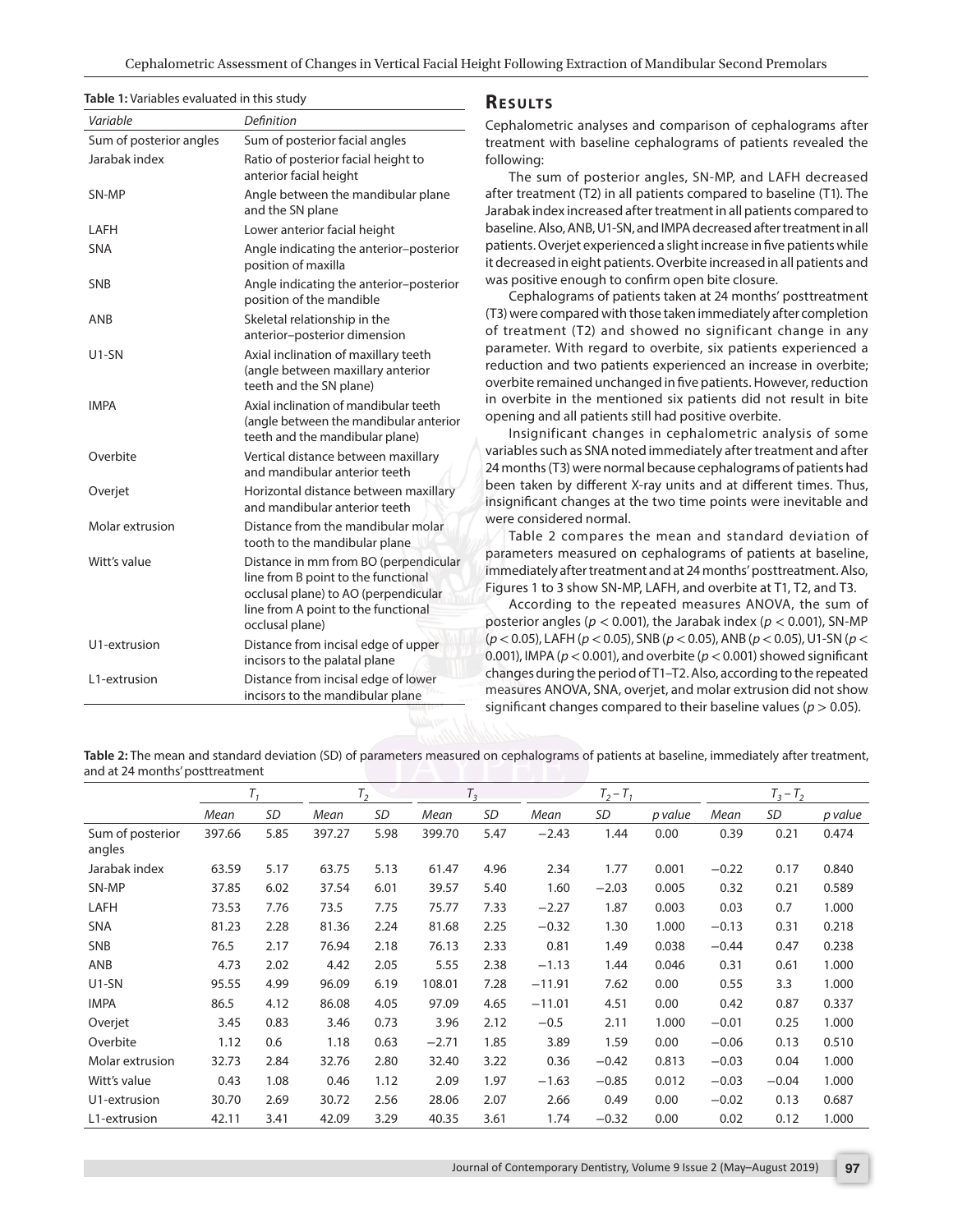| Table 1: Variables evaluated in this study |                                                                                                                                       | <b>RESULTS</b>                                                                                                                                                                                                                                                                                                                                                       |  |  |  |  |  |  |
|--------------------------------------------|---------------------------------------------------------------------------------------------------------------------------------------|----------------------------------------------------------------------------------------------------------------------------------------------------------------------------------------------------------------------------------------------------------------------------------------------------------------------------------------------------------------------|--|--|--|--|--|--|
| Variable                                   | De nition                                                                                                                             | Cephalometric analyses and comparison of cephalograms after                                                                                                                                                                                                                                                                                                          |  |  |  |  |  |  |
|                                            | Sum of posterior anglesSum of posterior facial angles                                                                                 | treatment with baseline cephalograms of patients revealed the                                                                                                                                                                                                                                                                                                        |  |  |  |  |  |  |
| Jarabak index                              | Ratio of posterior facial height to<br>anterior facial height                                                                         | following:<br>The sum of posterior angles, SN-MP, and LAFH decreased                                                                                                                                                                                                                                                                                                 |  |  |  |  |  |  |
| SN-MP                                      | and the SN plane                                                                                                                      | Angle between the mandibular plane after treatment (T2) in all patients compared to baseline (T1). The<br>Jarabak index increased after treatment in all patients compared to                                                                                                                                                                                        |  |  |  |  |  |  |
| LAFH                                       | Lower anterior facial height                                                                                                          | baseline. Also, ANB, U1-SN, and IMPA decreased after treatment in all                                                                                                                                                                                                                                                                                                |  |  |  |  |  |  |
| <b>SNA</b>                                 | position of maxilla                                                                                                                   | Angle indicating the anterior posteriopatients. Overjet experienced a slight increase in ve patients while<br>it decreased in eight patients. Overbite increased in all patients and                                                                                                                                                                                 |  |  |  |  |  |  |
| <b>SNB</b>                                 | position of the mandible                                                                                                              | Angle indicating the anterior posterio Was positive enough to con rm open bite closure.<br>Cephalograms of patients taken at 24 months posttreatment                                                                                                                                                                                                                 |  |  |  |  |  |  |
| ANB                                        | Skeletal relationship in the<br>anterior posterior dimension                                                                          | (T3) were compared with those taken immediately after completion<br>of treatment (T2) and showed no significant change in any                                                                                                                                                                                                                                        |  |  |  |  |  |  |
| U1-SN                                      | Axial inclination of maxillary teeth<br>(angle between maxillary anterior<br>teeth and the SN plane)                                  | parameter. With regard to overbite, six patients experienced a<br>reduction and two patients experienced an increase in overbite;<br>overbite remained unchanged in ve patients. However, reduction                                                                                                                                                                  |  |  |  |  |  |  |
| <b>IMPA</b>                                | Axial inclination of mandibular teeth<br>teeth and the mandibular plane)                                                              | in overbite in the mentioned six patients did not result in bite<br>(angle between the mandibular anteriapening and all patients still had positive overbite.<br>Insignificant changes in cephalometric analysis of some                                                                                                                                             |  |  |  |  |  |  |
| Overbite                                   | Vertical distance between maxillary<br>and mandibular anterior teeth                                                                  | variables such as SNA noted immediately after treatment and after<br>24 months (T3) were normal because cephalograms of patients had                                                                                                                                                                                                                                 |  |  |  |  |  |  |
| Overjet                                    | and mandibular anterior teeth                                                                                                         | Horizontal distance between maxillar been taken by di erent X-ray units and at di erent times. Thus,<br>Insigni cant changes at the two time points were inevitable and                                                                                                                                                                                              |  |  |  |  |  |  |
| Molar extrusion                            | Distance from the mandibular molar<br>tooth to the mandibular plane                                                                   | were considered normal.<br>Table 2 compares the mean and standard deviation of                                                                                                                                                                                                                                                                                       |  |  |  |  |  |  |
| Witt s value                               | line from B point to the functional<br>occlusal plane) to AO (perpendicular<br>line from A point to the functional<br>occlusal plane) | Distance in mm from BO (perpendicular contractors measured on cephalograms of patients at baseline,<br>frimmediately after treatment and at 24 months posttreatment. Also,<br>Figures 1 to 3 show SN-MP, LAFH, and overbite at T1, T2, and T3.<br>According to the repeated measures ANOVA, the sum of<br>posterior angles < 0.001), the Jarabak index Q.001), SN-MP |  |  |  |  |  |  |
| U1-extrusion                               | Distance from incisal edge of upper<br>incisors to the palatal plane                                                                  | $(p < 0.05)$ , LAFH $\leq 0.05$ ), SNB $\leq (0.05)$ , ANB $\leq 0.05$ ), U1-SNE(<br>0.001), IMPA< (0.001), and overbote (0.001) showed signi cant                                                                                                                                                                                                                   |  |  |  |  |  |  |
| L1-extrusion                               | Distance from incisal edge of lower<br>incisors to the mandibular plane                                                               | changes during the period of T1 T2. Also, according to the repeated<br>measures ANOVA, SNA, overjet, and molar extrusion did not show                                                                                                                                                                                                                                |  |  |  |  |  |  |
|                                            |                                                                                                                                       | signi cant changes compared to their baselinepvalues \$).                                                                                                                                                                                                                                                                                                            |  |  |  |  |  |  |

Table 2: The mean and standard deviation (SD) of parameters measured on cephalograms of patients at baseline, immediately after t and at 24 months posttreatment

|                                   | T,    |           | $T_2$  |           | $T_3$  |           | $T_2$ |           |         | $T_3$<br>Ţ, |           |         |
|-----------------------------------|-------|-----------|--------|-----------|--------|-----------|-------|-----------|---------|-------------|-----------|---------|
|                                   | Mean  | <b>SD</b> | Mean   | <b>SD</b> | Mean   | <b>SD</b> | Mean  | <b>SD</b> | p value | Mean        | <b>SD</b> | p value |
| Sum of posterior 397.66<br>angles |       | 5.85      | 397.27 | 5.98      | 399.70 | 5.47      | 2.43  | 1.44      | 0.00    | 0.39        | 0.21      | 0.474   |
| Jarabak index                     | 63.59 | 5.17      | 63.75  | 5.13      | 61.47  | 4.96      | 2.34  | 1.77      | 0.001   | 0.22        | 0.17      | 0.840   |
| SN-MP                             | 37.85 | 6.02      | 37.54  | 6.01      | 39.57  | 5.40      | 1.60  | 2.03      | 0.005   | 0.32        | 0.21      | 0.589   |
| LAFH                              | 73.53 | 7.76      | 73.5   | 7.75      | 75.77  | 7.33      | 2.27  | 1.87      | 0.003   | 0.03        | 0.7       | 1.000   |
| <b>SNA</b>                        | 81.23 | 2.28      | 81.36  | 2.24      | 81.68  | 2.25      | 0.32  | 1.30      | 1.000   | 0.13        | 0.31      | 0.218   |
| <b>SNB</b>                        | 76.5  | 2.17      | 76.94  | 2.18      | 76.13  | 2.33      | 0.81  | 1.49      | 0.038   | 0.44        | 0.47      | 0.238   |
| ANB                               | 4.73  | 2.02      | 4.42   | 2.05      | 5.55   | 2.38      | 1.13  | 1.44      | 0.046   | 0.31        | 0.61      | 1.000   |
| $U1-SN$                           | 95.55 | 4.99      | 96.09  | 6.19      | 108.01 | 7.28      | 11.91 | 7.62      | 0.00    | 0.55        | 3.3       | 1.000   |
| <b>IMPA</b>                       | 86.5  | 4.12      | 86.08  | 4.05      | 97.09  | 4.65      | 11.01 | 4.51      | 0.00    | 0.42        | 0.87      | 0.337   |
| Overjet                           | 3.45  | 0.83      | 3.46   | 0.73      | 3.96   | 2.12      | 0.5   | 2.11      | 1.000   | 0.01        | 0.25      | 1.000   |
| Overbite                          | 1.12  | 0.6       | 1.18   | 0.63      | 2.71   | 1.85      | 3.89  | 1.59      | 0.00    | 0.06        | 0.13      | 0.510   |
| Molar extrusion                   | 32.73 | 2.84      | 32.76  | 2.80      | 32.40  | 3.22      | 0.36  | 0.42      | 0.813   | 0.03        | 0.04      | 1.000   |
| Witt s value                      | 0.43  | 1.08      | 0.46   | 1.12      | 2.09   | 1.97      | 1.63  | 0.85      | 0.012   | 0.03        | 0.04      | 1.000   |
| U1-extrusion                      | 30.70 | 2.69      | 30.72  | 2.56      | 28.06  | 2.07      | 2.66  | 0.49      | 0.00    | 0.02        | 0.13      | 0.687   |
| L1-extrusion                      | 42.11 | 3.41      | 42.09  | 3.29      | 40.35  | 3.61      | 1.74  | 0.32      | 0.00    | 0.02        | 0.12      | 1.000   |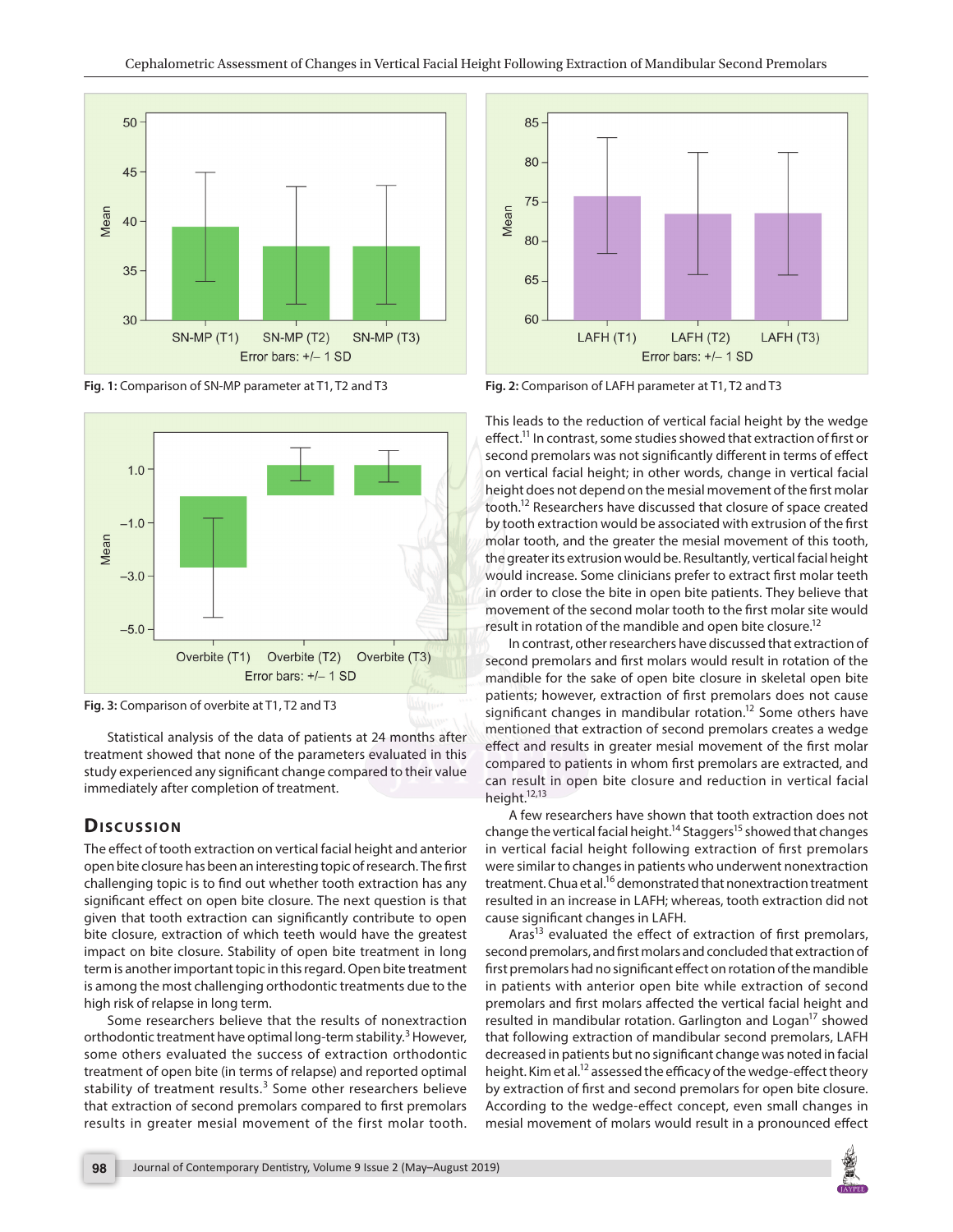**Fig. 1:** Comparison of SN-MP parameter at T1, T2 and T3





Statistical analysis of the data of patients at 24 months after results in greater mealsl may employ at molecular states a wedge ection and results in greater model in the results in greater mesial movement of the rst molar treatment showed that none of the parameters evaluated in this dependence in whom ret premalers are outperfected and study experienced any signi cant change compared to their value of beinches in whom ist premotes are extracted, and<br>can result in open bite closure and reduction in vertical facial in modiately after completion of treatmen immediately after completion of treatment.

## **DiS C U S SiO N**

**Fig. 2:** Comparison of LAFH parameter at T1, T2 and T3

This leads to the reduction of vertical facial height by the wedge e ect.<sup>11</sup> In contrast, some studies showed that extraction of rst or second premolars was not signi cantly di erent in terms of e ect on vertical facial height; in other words, change in vertical facial height does not depend on the mesial movement of the rst molar tooth<sup>2</sup> Researchers have discussed that closure of space created by tooth extraction would be associated with extrusion of the rst molar tooth, and the greater the mesial movement of this tooth, the greater its extrusion would be. Resultantly, vertical facial height would increase. Some clinicians prefer to extract rst molar teeth in order to close the bite in open bite patients. They believe that movement of the second molar tooth to the rst molar site would result in rotation of the mandible and open bit $e^{2}$ closure.

In contrast, other researchers have discussed that extraction of second premolars and rst molars would result in rotation of the mandible for the sake of open bite closure in skeletal open bite patients; however, extraction of rst premolars does not cause signi cant changes in mandibular rot $\frac{1}{2}$ thome others have

compared to patients in whom rst premolars are extracted, and height<sup>1213</sup>

A few researchers have shown that tooth extraction does not change the vertical facial height age  $t^5$ showed that changes

The e ect of tooth extraction on vertical facial height andi**antertoc**al facial height following extraction of rst premolars open bite closure has been an interesting topic of researchwē<del>lne</del> sintilar to changes in patients who underwent nonextraction challenging topic is to nd out whether tooth extraction thastament. Chua e<sup>if</sup> demonstrated that nonextraction treatment signi cant e ect on open bite closure. The next questionriss**tiltæd** in an increase in LAFH; whereas, tooth extraction did not given that tooth extraction can signi cantly contribute to openigni cant changes in LAFH.

bite closure, extraction of which teeth would have the greates  $\frac{2}{3}$  evaluated the eect of extraction of rst premolars, impact on bite closure. Stability of open bite treatmentsiedomdgpremolars, and rst molars and concluded that extraction of term is another important topic in this regard. Open bite tresttmentolars had no signi cant e ect on rotation of the mandible is among the most challenging orthodontic treatments duin thathents with anterior open bite while extraction of second premolars and rst molars aected the vertical facial height and high risk of relapse in long term.

Some researchers believe that the results of nonextreadited in mandibular rotation. Garlington and Istogamed orthodontic treatment have optimal long-term stability er, that following extraction of mandibular second premolars, LAFH some others evaluated the success of extraction orthoeoboraticed in patients but no signi cant change was noted in facial treatment of open bite (in terms of relapse) and reportedheigtitnallim et<sup>1</sup>aassessed the e cacy of the wedge-e ect theory stability of treatment resulbsme other researchers beliewe extraction of rst and second premolars for open bite closure. that extraction of second premolars compared to rst premolating to the wedge-e ect concept, even small changes in results in greater mesial movement of the first molamesiathmovement of molars would result in a pronounced e ect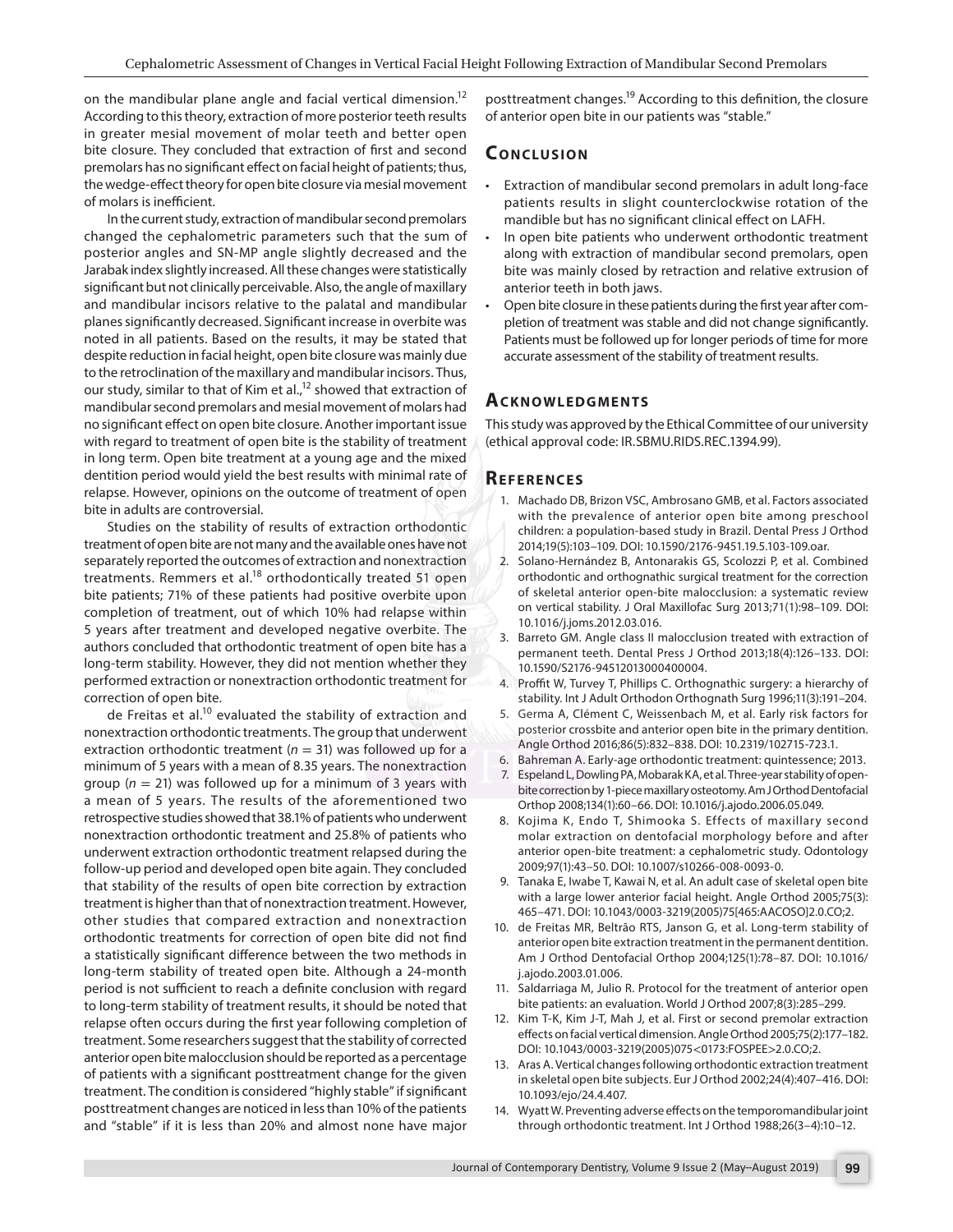on the mandibular plane angle and facial vertical dimensionsttreatment changes cording to this de nition, the closure According to this theory, extraction of more posterior tee**th aeseltio**r open bite in our patients was stable. in greater mesial movement of molar teeth and better open

bite closure. They concluded that extraction of rst and **CONPICUSION** 

premolars has no signicant eect on facial height of patients; thus,

the wedge-e ect theory for open bite closure via mesial movemet attion of mandibular second premolars in adult long-face of molars is ine cient. patients results in slight counterclockwise rotation of the

In the current study, extraction of mandibular second premalandible but has no signi cant clinical e ect on LAFH. changed the cephalometric parameters such that the su**m o**pen bite patients who underwent orthodontic treatment posterior angles and SN-MP angle slightly decreased andaldnag with extraction of mandibular second premolars, open Jarabak index slightly increased. All these changes were statis**tite**llwas mainly closed by retraction and relative extrusion of signi cant but not clinically perceivable. Also, the angle of max**illaty**rior teeth in both jaws.

and mandibular incisors relative to the palatal and mandib**Olae**n bite closure in these patients during the rst year after com planes signi cantly decreased. Signi cant increase in overbite pletson of treatment was stable and did not change signi cantly. noted in all patients. Based on the results, it may be state&ttleats must be followed up for longer periods of time for more despite reduction in facial height, open bite closure was mainl<del>yoduc</del>ate assessment of the stability of treatment results. to the retroclination of the maxillary and mandibular incisors. Thus,

our study, similar to that of Kin  $\hat{r}$  show ed that extraction of

but study, similar to that or Kin Stidinged that extraction **AT CIKINOWLEDGMENTS** 

no signi cant e ect on open bite closure. Another importanthisssutady was approved by the Ethical Committee of our university with regard to treatment of open bite is the stability of teehical approval code: IR.SBMU.RIDS.REC.1394.99).

in long term. Open bite treatment at a young age and the mixed

dentition period would yield the best results with minima**References** 

relapse. However, opinions on the outcome of treatment of open hado DB, Brizon VSC, Ambrosano GMB, et al. Factors associated<br>hits in adults are associated bite in adults are controversial. Studies on the stability of results of extraction orthodontic en: a population-based study in Brazil. Dental Press J Orthod with the prevalence of anterior open bite among preschool

treatment of open bite are not many and the available ones have 2004;19(5):103 109. DOI: 10.1590/2176-9451.19.5.103-109.oar. separately reported the outcomes of extraction and nonextracsiolano-HernÆndez B, Antonarakis GS, Scolozzi P, et al. Combined treatments. Remmers et althodontically treated 51 open orthodontic and orthognathic surgical treatment for the correction bite patients; 71% of these patients had positive overbite up fiskeletal anterior open-bite malocclusion: a systematic review completion of treatment, out of which 10% had relapse within 5 years after treatment and developed negative overbite. The  $\omega_{\rm H\alpha}$ vertical stability. J Oral Maxillofac Surg 2013;71(1):98 109. DOI: 10.1016/j.joms.2012.03.016.

authors concluded that orthodontic treatment of open bite has a long-term stability. However, they did not mention whether thgy 590/S2176-94512013000400004. performed extraction or nonextraction orthodontic treatment fort W, Turvey T, Phillips C. Orthognathic surgery: a hierarchy of 3. Barreto GM. Angle class II malocclusion treated with extraction of permanent teeth. Dental Press J Orthod 2013;18(4):126133. DOI:

correction of open bite. de Freitas et<sup>1</sup> $\rm \hat{a}$ levaluated the stability of extraction a<code>ādGerma</code> A, ClØment C, Weissenbach M, et al. Early risk factors for nonextraction orthodontic treatments. The group that underwent trossbite and anterior open bite in the primary dentition. extraction orthodontic treatment () was followed up for a Angle Orthod 2016;86(5):832 838. DOI: 10.2319/102715-723.1. minimum of 5 years with a mean of 8.35 years. The nonextraction and Early-age orthodontic treatment: quintessence; 2013. minimum of G fears with a mean of electron feature. The nenewly espeland L, Dowling PA, Mobarak KA, et al. Three-year stability of open-<br>group  $n(=21)$  was followed up for a minimum of 3 years with correction by 1 piece ma a mean of 5 years. The results of the aforementioned to phop 2008;134(1):60 66. DOI: 10.1016/j.ajodo.2006.05.049. stability. Int J Adult Orthodon Orthognath Surg 1996;11(3):191204. bite correction by 1-piece maxillary osteotomy. Am J Orthod Dentofacial

retrospective studies showed that 38.1% of patients who underwent a k, Endo T, Shimooka S. Effects of maxillary second nonextraction orthodontic treatment and 25.8% of patients who extraction on dentofacial morphology before and after underwent extraction orthodontic treatment relapsed during theerior open-bite treatment: a cephalometric study. Odontology follow-up period and developed open bite again. They concluded 009;97(1):43 50. DOI: 10.1007/s10266-008-0093-0

that stability of the results of open bite correction by extraction E, Iwabe T, Kawai N, et al. An adult case of skeletal open bite treatment is higher than that of nonextraction treatment. How $\frac{dy}{dx}$ , other studies that compared extraction and nonextra $\epsilon$ ti $\vec{\rm q}$ n $\vec{\rm p}$ orthodontic treatments for correction of open bite did not appendix open bite extraction treatment in the permanent dentition. a statistically signi cant di erence between the two methods in J Orthod Dentofacial Orthop 2004;125(1):78 87. DOI: 10.1016/ long-term stability of treated open bite. Although a 24-monthodo.2003.01.006. with a large lower anterior facial height. Angle Orthod 2005;75(3): 465 '471. DOI: 10.1043/0003-3219(2005)75[465:AACOSO]2.0.CO;2. 10. de Freitas MR, Beltrªo RTS, Janson G, et al. Long-term stability of

period is not su cient to reach a de nite conclusion with regas darriaga M, Julio R. Protocol for the treatment of anterior open to long-term stability of treatment results, it should be noted that patients: an evaluation. World J Orthod 2007;8(3):285 299. relapse often occurs during the rst year following completion in T-K, Kim J-T, Mah J, et al. First or second premolar extraction treatment. Some researchers suggest that the stability of corrected. e.ects on facial vertical dimension. Angle Orthod 2005;75(2):177 182. DOI: 10.1043/0003-3219(2005)075 <0173:FOSPEE>2.0.CO;2.

anterior open bite malocclusion should be reported as a percentăge: of patients with a signi cant posttreatment change for the given bit with the subjects. Eur J Orthod 2002;24(4):407 416. DOI: treatment. The condition is considered highly stable if signi camt<sub>1093/ejo</sub>/24.4.407. 13. APA's A. Vertical changes following orthodontic extraction treatment

posttreatment changes are noticed in less than 10% of the patients w. Preventing adverse e ects on the temporomandibular joint and stable if it is less than 20% and almost none have majoough orthodontic treatment. Int J Orthod 1988;26(34):1012